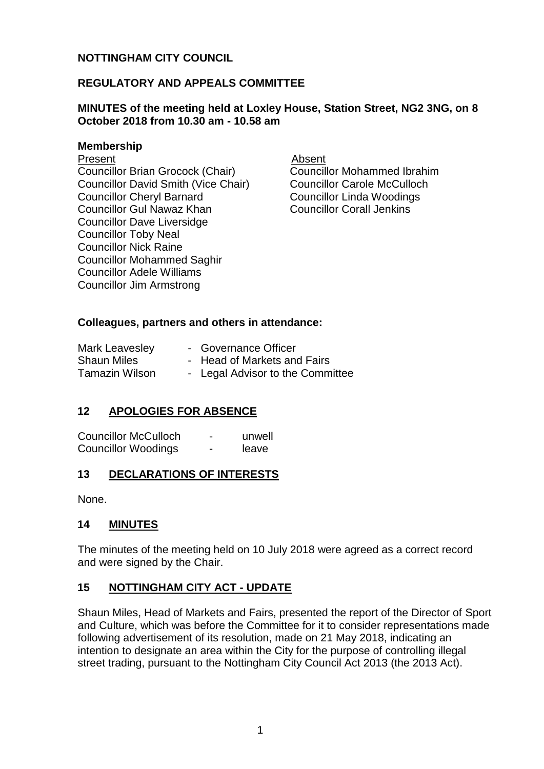## **NOTTINGHAM CITY COUNCIL**

### **REGULATORY AND APPEALS COMMITTEE**

### **MINUTES of the meeting held at Loxley House, Station Street, NG2 3NG, on 8 October 2018 from 10.30 am - 10.58 am**

#### **Membership**

#### Present **Absent**

Councillor Brian Grocock (Chair) Councillor David Smith (Vice Chair) Councillor Cheryl Barnard Councillor Gul Nawaz Khan Councillor Dave Liversidge Councillor Toby Neal Councillor Nick Raine Councillor Mohammed Saghir Councillor Adele Williams Councillor Jim Armstrong

Councillor Mohammed Ibrahim Councillor Carole McCulloch Councillor Linda Woodings Councillor Corall Jenkins

### **Colleagues, partners and others in attendance:**

| Mark Leavesley        | - Governance Officer             |
|-----------------------|----------------------------------|
| <b>Shaun Miles</b>    | - Head of Markets and Fairs      |
| <b>Tamazin Wilson</b> | - Legal Advisor to the Committee |

## **12 APOLOGIES FOR ABSENCE**

| <b>Councillor McCulloch</b> | - | unwell |
|-----------------------------|---|--------|
| <b>Councillor Woodings</b>  | - | leave  |

### **13 DECLARATIONS OF INTERESTS**

None.

#### **14 MINUTES**

The minutes of the meeting held on 10 July 2018 were agreed as a correct record and were signed by the Chair.

### **15 NOTTINGHAM CITY ACT - UPDATE**

Shaun Miles, Head of Markets and Fairs, presented the report of the Director of Sport and Culture, which was before the Committee for it to consider representations made following advertisement of its resolution, made on 21 May 2018, indicating an intention to designate an area within the City for the purpose of controlling illegal street trading, pursuant to the Nottingham City Council Act 2013 (the 2013 Act).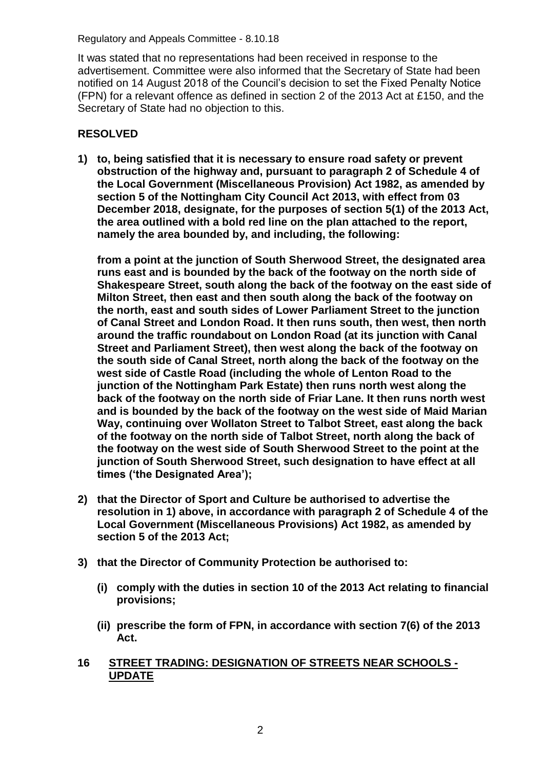Regulatory and Appeals Committee - 8.10.18

It was stated that no representations had been received in response to the advertisement. Committee were also informed that the Secretary of State had been notified on 14 August 2018 of the Council's decision to set the Fixed Penalty Notice (FPN) for a relevant offence as defined in section 2 of the 2013 Act at £150, and the Secretary of State had no objection to this.

# **RESOLVED**

**1) to, being satisfied that it is necessary to ensure road safety or prevent obstruction of the highway and, pursuant to paragraph 2 of Schedule 4 of the Local Government (Miscellaneous Provision) Act 1982, as amended by section 5 of the Nottingham City Council Act 2013, with effect from 03 December 2018, designate, for the purposes of section 5(1) of the 2013 Act, the area outlined with a bold red line on the plan attached to the report, namely the area bounded by, and including, the following:**

**from a point at the junction of South Sherwood Street, the designated area runs east and is bounded by the back of the footway on the north side of Shakespeare Street, south along the back of the footway on the east side of Milton Street, then east and then south along the back of the footway on the north, east and south sides of Lower Parliament Street to the junction of Canal Street and London Road. It then runs south, then west, then north around the traffic roundabout on London Road (at its junction with Canal Street and Parliament Street), then west along the back of the footway on the south side of Canal Street, north along the back of the footway on the west side of Castle Road (including the whole of Lenton Road to the junction of the Nottingham Park Estate) then runs north west along the back of the footway on the north side of Friar Lane. It then runs north west and is bounded by the back of the footway on the west side of Maid Marian Way, continuing over Wollaton Street to Talbot Street, east along the back of the footway on the north side of Talbot Street, north along the back of the footway on the west side of South Sherwood Street to the point at the junction of South Sherwood Street, such designation to have effect at all times ('the Designated Area');**

- **2) that the Director of Sport and Culture be authorised to advertise the resolution in 1) above, in accordance with paragraph 2 of Schedule 4 of the Local Government (Miscellaneous Provisions) Act 1982, as amended by section 5 of the 2013 Act;**
- **3) that the Director of Community Protection be authorised to:**
	- **(i) comply with the duties in section 10 of the 2013 Act relating to financial provisions;**
	- **(ii) prescribe the form of FPN, in accordance with section 7(6) of the 2013 Act.**
- **16 STREET TRADING: DESIGNATION OF STREETS NEAR SCHOOLS - UPDATE**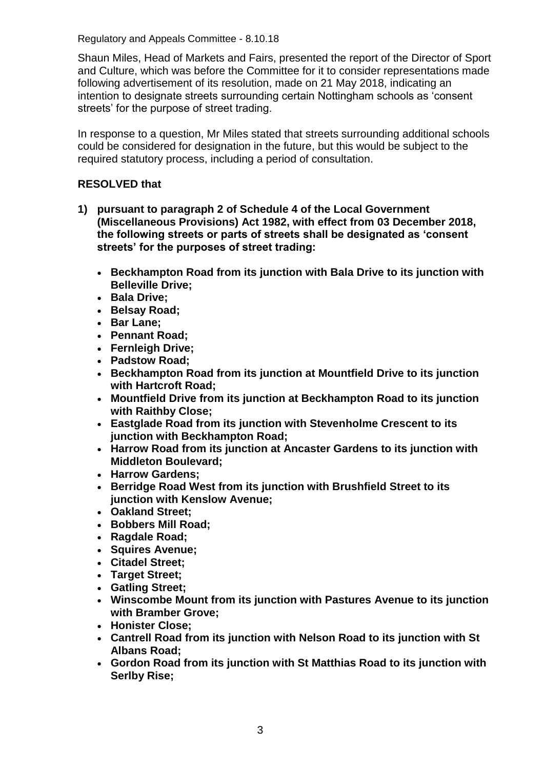Regulatory and Appeals Committee - 8.10.18

Shaun Miles, Head of Markets and Fairs, presented the report of the Director of Sport and Culture, which was before the Committee for it to consider representations made following advertisement of its resolution, made on 21 May 2018, indicating an intention to designate streets surrounding certain Nottingham schools as 'consent streets' for the purpose of street trading.

In response to a question, Mr Miles stated that streets surrounding additional schools could be considered for designation in the future, but this would be subject to the required statutory process, including a period of consultation.

## **RESOLVED that**

- **1) pursuant to paragraph 2 of Schedule 4 of the Local Government (Miscellaneous Provisions) Act 1982, with effect from 03 December 2018, the following streets or parts of streets shall be designated as 'consent streets' for the purposes of street trading:**
	- **Beckhampton Road from its junction with Bala Drive to its junction with Belleville Drive;**
	- **Bala Drive;**
	- **Belsay Road;**
	- **Bar Lane;**
	- **Pennant Road;**
	- **Fernleigh Drive;**
	- **Padstow Road;**
	- **Beckhampton Road from its junction at Mountfield Drive to its junction with Hartcroft Road;**
	- **Mountfield Drive from its junction at Beckhampton Road to its junction with Raithby Close;**
	- **Eastglade Road from its junction with Stevenholme Crescent to its junction with Beckhampton Road;**
	- **Harrow Road from its junction at Ancaster Gardens to its junction with Middleton Boulevard;**
	- **Harrow Gardens;**
	- **Berridge Road West from its junction with Brushfield Street to its junction with Kenslow Avenue;**
	- **Oakland Street;**
	- **Bobbers Mill Road;**
	- **Ragdale Road;**
	- **Squires Avenue;**
	- **Citadel Street;**
	- **Target Street;**
	- **Gatling Street;**
	- **Winscombe Mount from its junction with Pastures Avenue to its junction with Bramber Grove;**
	- **Honister Close;**
	- **Cantrell Road from its junction with Nelson Road to its junction with St Albans Road;**
	- **Gordon Road from its junction with St Matthias Road to its junction with Serlby Rise;**